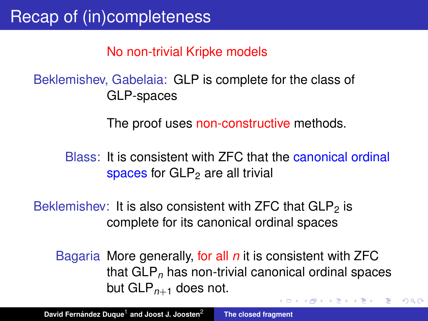No non-trivial Kripke models

#### Beklemishev, Gabelaia: GLP is complete for the class of GLP-spaces

The proof uses non-constructive methods.

Blass: It is consistent with ZFC that the canonical ordinal spaces for  $GLP<sub>2</sub>$  are all trivial

Beklemishev: It is also consistent with ZFC that  $GLP<sub>2</sub>$  is complete for its canonical ordinal spaces

Bagaria More generally, for all *n* it is consistent with ZFC that GLP*<sup>n</sup>* has non-trivial canonical ordinal spaces but GLP*n*+<sup>1</sup> does not.

す 伊 メ マ ヨ メ マ ヨ メ

<span id="page-0-0"></span> $2Q$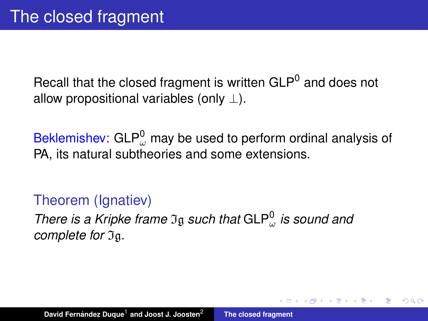Recall that the closed fragment is written GLP<sup>0</sup> and does not allow propositional variables (only  $\perp$ ).

Beklemishev: GLP $_{\omega}^0$  may be used to perform ordinal analysis of PA, its natural subtheories and some extensions.

 $QQ$ 

#### Theorem (Ignatiev)

*There is a Kripke frame*  $\mathfrak{I}_{\mathfrak{g}}$  *such that*  $GLP^0_{\omega}$  *is sound and complete for*  $\mathfrak{I}_{\mathfrak{g}}$ .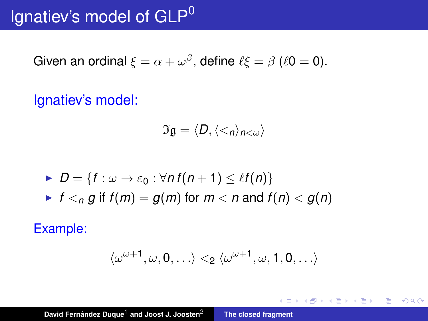# Ignatiev's model of GLP<sup>0</sup>

Given an ordinal  $\xi = \alpha + \omega^\beta$ , define  $\ell \xi = \beta$  ( $\ell 0 = 0$ ).

Ignatiev's model:

$$
\mathfrak{Ig}=\langle D, \langle <_n\rangle_{n<\omega}\rangle
$$

\n- $$
D = \{f : \omega \to \varepsilon_0 : \forall n f(n+1) \leq \ell f(n)\}
$$
\n- $f <_n g$  if  $f(m) = g(m)$  for  $m < n$  and  $f(n) < g(n)$
\n

Example:

$$
\langle \omega^{\omega+1}, \omega, 0, \ldots \rangle <_2 \langle \omega^{\omega+1}, \omega, 1, 0, \ldots \rangle
$$

す 御 メ イ 重 メ イ 重 メー

画

 $2990$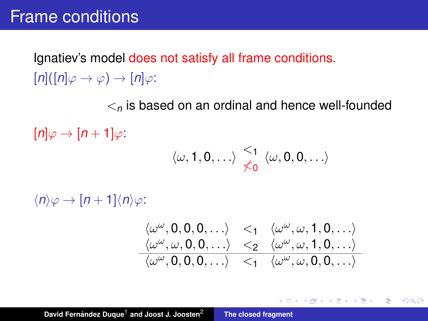## Frame conditions

Ignatiev's model does not satisfy all frame conditions.  $[n]([n]\varphi \rightarrow \varphi) \rightarrow [n]\varphi$ :

 $\lt_{n}$  is based on an ordinal and hence well-founded

 $[n] \varphi \rightarrow [n+1] \varphi$ :

$$
\langle \omega, 1, 0, \ldots \rangle \overset{<_1}{\not \preceq_0} \langle \omega, 0, 0, \ldots \rangle
$$

 $\langle n \rangle \varphi \rightarrow [n+1] \langle n \rangle \varphi$ :

$$
\begin{array}{ccccc}\langle\omega^\omega,0,0,0,\ldots\rangle&<_1&\langle\omega^\omega,\omega,1,0,\ldots\rangle\\\langle\omega^\omega,\omega,0,0,\ldots\rangle&<_2&\langle\omega^\omega,\omega,1,0,\ldots\rangle\\\langle\omega^\omega,0,0,0,\ldots\rangle&<_1&\langle\omega^\omega,\omega,0,0,\ldots\rangle\end{array}
$$

K ロ ▶ K 御 ▶ K 重 ▶ K 重 ▶ 三重 → 約 Q @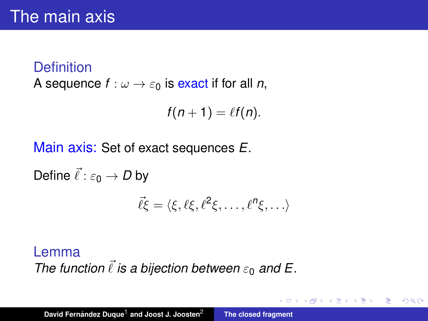## **Definition** A sequence  $f: \omega \to \varepsilon_0$  is exact if for all *n*,

$$
f(n+1)=\ell f(n).
$$

 $\left(\sqrt{m}+1\right)$ 

 $QQQ$ 

Main axis: Set of exact sequences *E*.

Define  $\vec{\ell}$  :  $\varepsilon_0 \rightarrow D$  by  $\vec{\ell} \xi = \langle \xi, \ell \xi, \ell^2 \xi, \ldots, \ell^n \xi, \ldots \rangle$ 

#### Lemma

*The function*  $\vec{l}$  *is a bijection between*  $\varepsilon_0$  *and* E.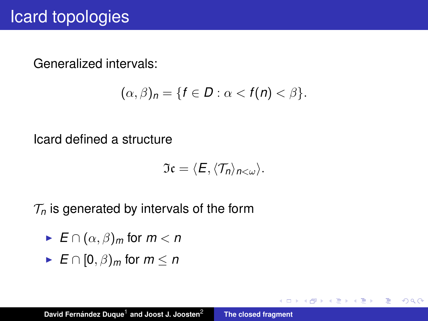Generalized intervals:

$$
(\alpha,\beta)_n=\{f\in D:\alpha
$$

Icard defined a structure

$$
\mathfrak{I}\mathfrak{c}=\langle E,\langle \mathcal{T}_n\rangle_{n<\omega}\rangle.
$$

4 御 > 4 唐 > 4 唐

 $299$ 

重

 $\mathcal{T}_n$  is generated by intervals of the form

- $\blacktriangleright$   $E \cap (\alpha, \beta)_m$  for  $m < n$
- $\blacktriangleright$  *E*  $\cap$  [0,  $\beta$ )<sub>*m*</sub> for *m* < *n*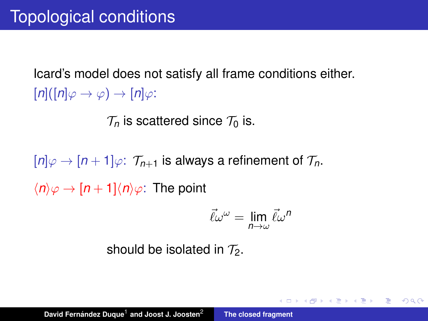Icard's model does not satisfy all frame conditions either.  $[n]([n]\varphi \rightarrow \varphi) \rightarrow [n]\varphi$ :

 $\mathcal{T}_n$  is scattered since  $\mathcal{T}_0$  is.

 $[n]\varphi \to [n+1]\varphi$ :  $\mathcal{T}_{n+1}$  is always a refinement of  $\mathcal{T}_n$ .  $\langle n \rangle \varphi \rightarrow [n+1] \langle n \rangle \varphi$ : The point

$$
\vec{\ell}\omega^{\omega}=\lim_{n\to\omega}\vec{\ell}\omega^n
$$

K ロ ▶ K 御 ▶ K 重 ▶ K 重 ▶ 三重 → 約 Q @

should be isolated in  $\mathcal{T}_2$ .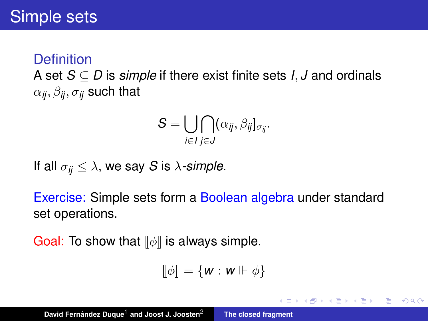A set *S* ⊆ *D* is *simple* if there exist finite sets *I*, *J* and ordinals  $\alpha_{ij}, \beta_{ij}, \sigma_{ij}$  such that

$$
S=\bigcup_{i\in I}\bigcap_{j\in J}(\alpha_{ij},\beta_{ij}]_{\sigma_{ij}}.
$$

If all  $\sigma_{ij} \leq \lambda$ , we say *S* is  $\lambda$ -simple.

Exercise: Simple sets form a Boolean algebra under standard set operations.

Goal: To show that  $\llbracket \phi \rrbracket$  is always simple.

$$
[\![\phi]\!] = \{\mathbf{w} : \mathbf{w} \Vdash \phi\}
$$

イロメ イ団メ イヨメ イヨメー

重  $299$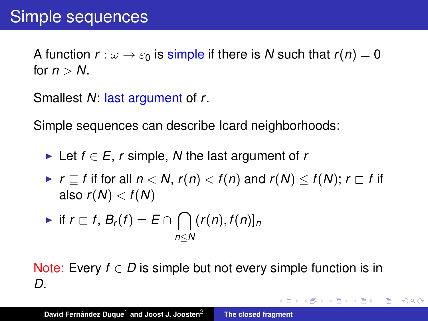A function  $r : \omega \to \epsilon_0$  is simple if there is N such that  $r(n) = 0$ for  $n > N$ .

Smallest *N*: last argument of *r*.

Simple sequences can describe Icard neighborhoods:

- $\triangleright$  Let *f* ∈ *E*, *r* simple, *N* the last argument of *r*
- $\blacktriangleright$   $r \sqsubseteq f$  if for all  $n < N$ ,  $r(n) < f(n)$  and  $r(N) \leq f(N)$ ;  $r \sqsubset f$  if also  $r(N) < f(N)$

$$
\blacktriangleright \text{ if } r \sqsubset f, B_r(f) = E \cap \bigcap_{n \leq N} (r(n), f(n))_n
$$

Note: Every  $f \in D$  is simple but not every simple function is in *D*.

K ロ ⊁ K 伊 ⊁ K 君 ⊁ K 君 ⊁ …

重

 $2Q$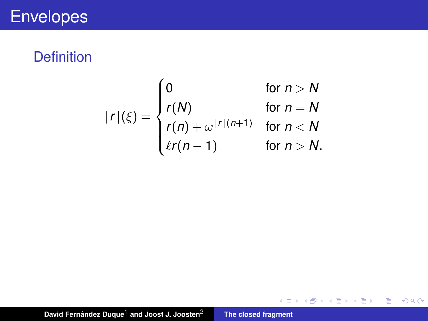# **Envelopes**

#### **Definition**

$$
\lceil r \rceil (\xi) = \begin{cases} 0 & \text{for } n > N \\ r(N) & \text{for } n = N \\ r(n) + \omega^{\lceil r \rceil (n+1)} & \text{for } n < N \\ \ell r(n-1) & \text{for } n > N. \end{cases}
$$

メロトメ部 トメ君 トメ君 トッ

 $E = 990$ 

David Fernández Duque<sup>1</sup> and Joost J. Joosten<sup>2</sup> **[The closed fragment](#page-0-0)**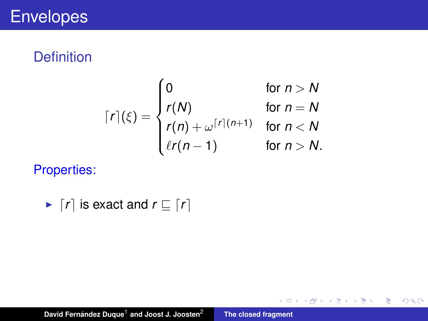$$
\lceil r \rceil (\xi) = \begin{cases} 0 & \text{for } n > N \\ r(N) & \text{for } n = N \\ r(n) + \omega^{\lceil r \rceil (n+1)} & \text{for } n < N \\ \ell r(n-1) & \text{for } n > N. \end{cases}
$$

イロトス 伊 トス 言 トス 言 トー

高。  $2QQ$ 

Properties:

$$
\blacktriangleright \lceil r \rceil \text{ is exact and } r \sqsubseteq \lceil r \rceil
$$

David Fernández Duque<sup>1</sup> and Joost J. Joosten<sup>2</sup> **[The closed fragment](#page-0-0)**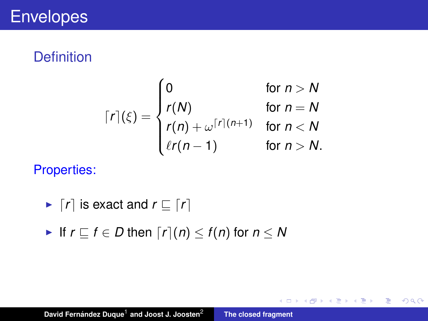$$
\lceil r \rceil (\xi) = \begin{cases} 0 & \text{for } n > N \\ r(N) & \text{for } n = N \\ r(n) + \omega^{\lceil r \rceil (n+1)} & \text{for } n < N \\ \ell r(n-1) & \text{for } n > N. \end{cases}
$$

イロメ イ部メ イヨメ イヨメー

■ 1  $2990$ 

Properties:

- $\blacktriangleright$   $\lceil r \rceil$  is exact and  $r \sqsubseteq \lceil r \rceil$
- **►** If  $r \subseteq f \in D$  then  $\lceil r \rceil(n) \leq f(n)$  for  $n \leq N$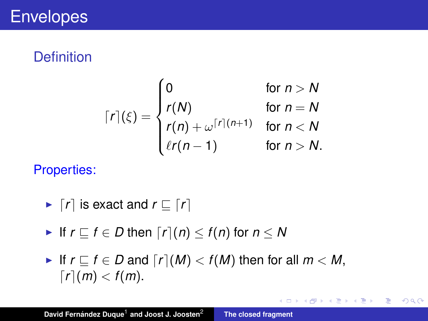$$
\lceil r \rceil (\xi) = \begin{cases} 0 & \text{for } n > N \\ r(N) & \text{for } n = N \\ r(n) + \omega^{\lceil r \rceil (n+1)} & \text{for } n < N \\ \ell r(n-1) & \text{for } n > N. \end{cases}
$$

Properties:

- $\blacktriangleright$   $\lceil r \rceil$  is exact and  $r \sqsubset \lceil r \rceil$
- If  $r \rvert T \rvert f \in D$  then  $\lceil r \rvert(n) \leq f(n)$  for  $n \leq N$
- If  $r \sqsubset f \in D$  and  $\lceil r \rceil(M) < f(M)$  then for all  $m < M$ ,  $\lceil r \rceil$ *(m)* < *f(m)*.

イロメ イ団メ イヨメ イヨメー

■ 1  $2990$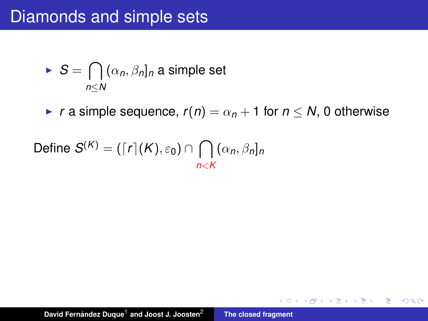## Diamonds and simple sets

$$
\blacktriangleright S = \bigcap_{n \leq N} (\alpha_n, \beta_n]_n \text{ a simple set}
$$

**►** *r* a simple sequence,  $r(n) = \alpha_n + 1$  for  $n \leq N$ , 0 otherwise

メタメ メミメ メミメー

画

 $2990$ 

Define 
$$
S^{(K)} = (\lceil r \rceil(K), \varepsilon_0) \cap \bigcap_{n < K} (\alpha_n, \beta_n]_n
$$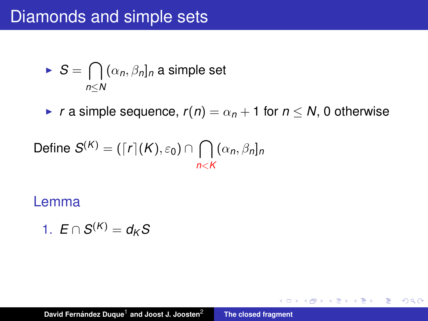## Diamonds and simple sets

$$
\blacktriangleright S = \bigcap_{n \leq N} (\alpha_n, \beta_n]_n \text{ a simple set}
$$

**►** *r* a simple sequence,  $r(n) = \alpha_n + 1$  for  $n \leq N$ , 0 otherwise

メタメ メミメ メミメー

■ 1  $2990$ 

Define 
$$
S^{(K)} = (\lceil r \rceil(K), \varepsilon_0) \cap \bigcap_{n < K} (\alpha_n, \beta_n]_n
$$

#### Lemma

$$
1. E \cap S^{(K)} = d_K S
$$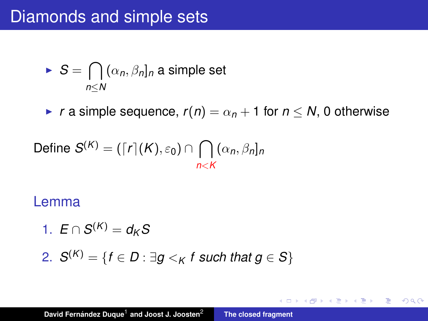## Diamonds and simple sets

$$
\blacktriangleright S = \bigcap_{n \leq N} (\alpha_n, \beta_n]_n \text{ a simple set}
$$

**►** *r* a simple sequence,  $r(n) = \alpha_n + 1$  for  $n \leq N$ , 0 otherwise

メタメ メミメ メミメー

■ 1  $2990$ 

Define 
$$
S^{(K)} = (\lceil r \rceil(K), \varepsilon_0) \cap \bigcap_{n < K} (\alpha_n, \beta_n]_n
$$

#### Lemma

$$
1. E \cap S^{(K)} = d_K S
$$

2. 
$$
S^{(K)} = \{f \in D : \exists g <_{K} f \text{ such that } g \in S\}
$$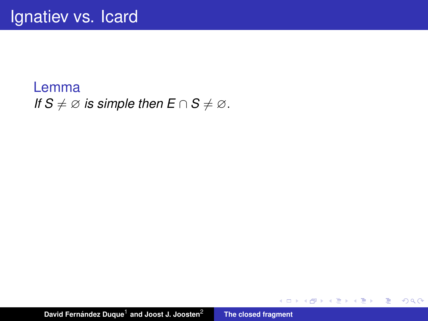#### Lemma *If*  $S \neq \emptyset$  *is simple then*  $E \cap S \neq \emptyset$ .

David Fernández Duque<sup>1</sup> and Joost J. Joosten<sup>2</sup> **[The closed fragment](#page-0-0)** 

イロメ イ団メ イヨメ イヨメー

■ 1  $2QQ$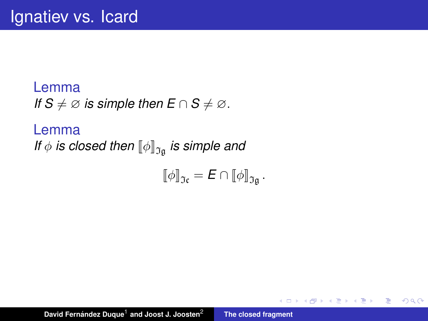Lemma *If*  $S \neq \emptyset$  *is simple then*  $E \cap S \neq \emptyset$ .

Lemma *If*  $\phi$  *is closed then*  $[\![\phi]\!]_{\mathfrak{I}_{\mathfrak{a}}}$  *is simple and* 

$$
\llbracket \phi \rrbracket_{\mathfrak{I} \mathfrak{c}} = \mathbf{E} \cap \llbracket \phi \rrbracket_{\mathfrak{I} \mathfrak{g}}.
$$

イロメ イ部メ イヨメ イヨメー

重

 $2Q$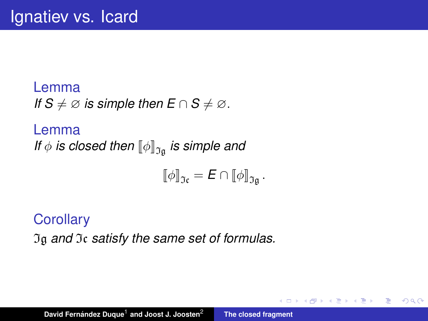Lemma *If*  $S \neq \emptyset$  *is simple then*  $E \cap S \neq \emptyset$ .

Lemma *If*  $\phi$  *is closed then*  $[\![\phi]\!]_{\mathfrak{I}_{\mathfrak{a}}}$  *is simple and* 

$$
\llbracket \phi \rrbracket_{\mathfrak{I} \mathfrak{c}} = \mathbf{E} \cap \llbracket \phi \rrbracket_{\mathfrak{I} \mathfrak{g}}.
$$

す 伊 メ マ ヨ メ マ ヨ メ

重  $2Q$ 

**Corollary** Ig *and* Ic *satisfy the same set of formulas.*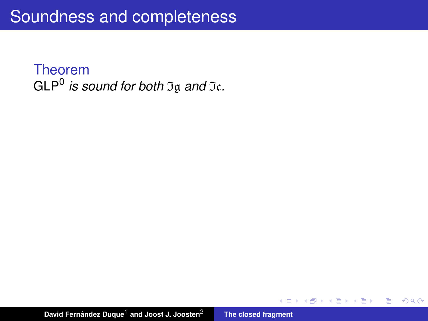◆ 伊 \* \* ミ \* \* 毛

重

 $\sim$ 

 $2Q$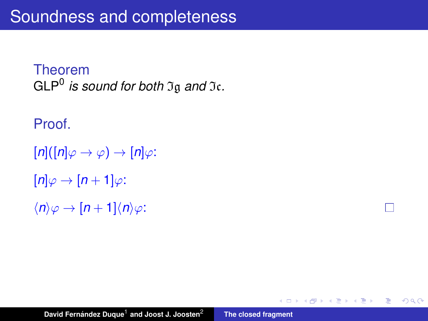Proof.

```
[n]([n]\varphi \rightarrow \varphi) \rightarrow [n]\varphi:
[n]\varphi\to[n+1]\varphi:
\langle n \rangle \varphi \rightarrow [n+1] \langle n \rangle \varphi:
```
H

重。  $2Q$ 

(御) (言) (言)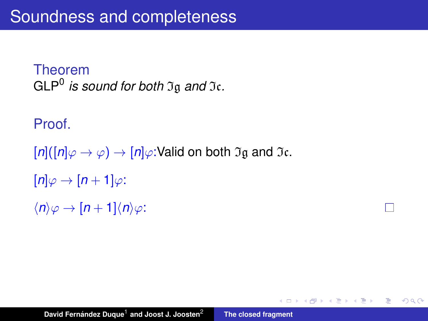Proof.

 $[n]([n]\varphi \rightarrow \varphi) \rightarrow [n]\varphi$ : Valid on both  $\mathfrak{I}$ g and  $\mathfrak{I}$ c.  $[n]\varphi \rightarrow [n+1]\varphi$ :  $\langle n \rangle \varphi \rightarrow [n+1] \langle n \rangle \varphi$ :

K 御 ▶ K 唐 ▶ K 唐 ▶ ...

重し  $2990$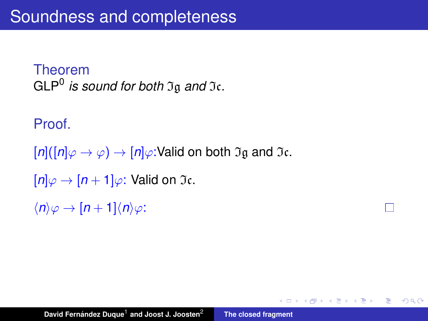Proof.

 $[n]([n]\varphi \rightarrow \varphi) \rightarrow [n]\varphi$ : Valid on both  $\mathfrak{I}$ g and  $\mathfrak{I}$ c.  $[n]\varphi \rightarrow [n+1]\varphi$ : Valid on  $\mathfrak{I}$ c.

 $\langle n \rangle \varphi \rightarrow [n+1] \langle n \rangle \varphi$ :

K 御 ▶ K 唐 ▶ K 唐 ▶ ...

重し  $2990$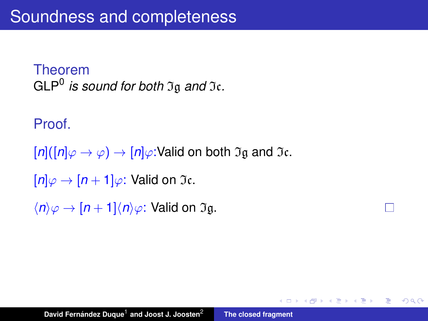Proof.

 $[n]([n]\varphi \rightarrow \varphi) \rightarrow [n]\varphi$ : Valid on both  $\mathfrak{I}$ g and  $\mathfrak{I}$ c.

П

重し  $2Q$ 

K 御 ▶ K 唐 ▶ K 唐 ▶ ...

 $[n]\varphi \to [n+1]\varphi$ : Valid on  $\mathfrak{I}$ c.

 $\langle n \rangle \varphi \rightarrow [n+1] \langle n \rangle \varphi$ : Valid on  $\mathfrak{I}$ g.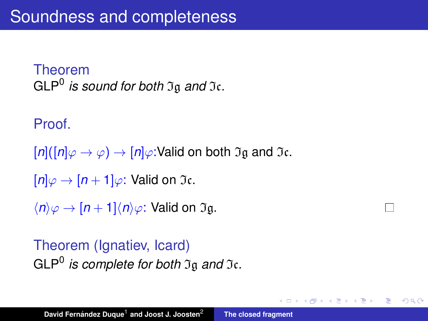Proof.

 $[n]([n]\varphi \rightarrow \varphi) \rightarrow [n]\varphi$ : Valid on both  $\mathfrak{I}$ g and  $\mathfrak{I}$ c.

```
[n]\varphi \to [n+1]\varphi: Valid on \mathfrak{I}c.
```
 $\langle n \rangle \varphi \rightarrow [n+1] \langle n \rangle \varphi$ : Valid on  $\mathfrak{I}$ g.

### Theorem (Ignatiev, Icard) GLP<sup>0</sup> *is complete for both* Ig *and* Ic*.*

(御) メミンメミン

÷.  $2Q$